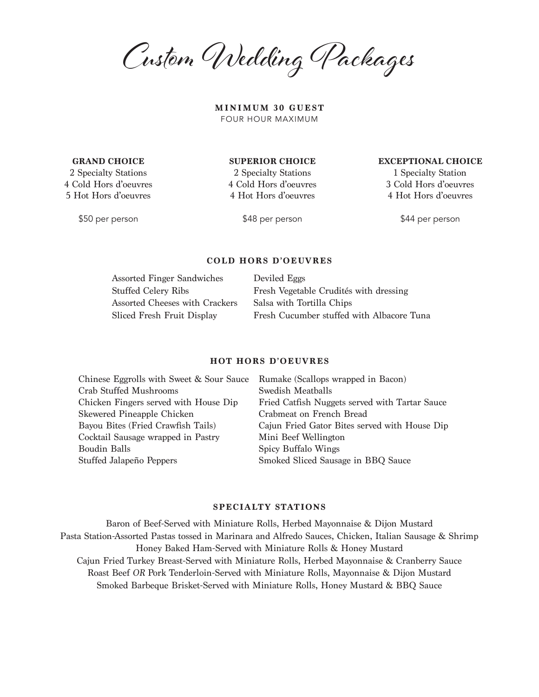Custom Wedding Packages

**MINIMUM 30 GUEST** FOUR HOUR MAXIMUM

**GRAND CHOICE**

2 Specialty Stations 4 Cold Hors d'oeuvres 5 Hot Hors d'oeuvres

\$50 per person

**SUPERIOR CHOICE** 

2 Specialty Stations 4 Cold Hors d'oeuvres 4 Hot Hors d'oeuvres

1 Specialty Station

3 Cold Hors d'oeuvres 4 Hot Hors d'oeuvres

**EXCEPTIONAL CHOICE** 

\$44 per person

\$48 per person

## **COLD HORS D'OEUVRES**

| <b>Assorted Finger Sandwiches</b> | Deviled Eggs                              |
|-----------------------------------|-------------------------------------------|
| <b>Stuffed Celery Ribs</b>        | Fresh Vegetable Crudités with dressing    |
| Assorted Cheeses with Crackers    | Salsa with Tortilla Chips                 |
| Sliced Fresh Fruit Display        | Fresh Cucumber stuffed with Albacore Tuna |

#### **HOT HORS D'OEUVRES**

| Rumake (Scallops wrapped in Bacon)             |
|------------------------------------------------|
| Swedish Meatballs                              |
| Fried Catfish Nuggets served with Tartar Sauce |
| Crabmeat on French Bread                       |
| Cajun Fried Gator Bites served with House Dip  |
| Mini Beef Wellington                           |
| Spicy Buffalo Wings                            |
| Smoked Sliced Sausage in BBQ Sauce             |
|                                                |

## **SPECIALTY STATIONS**

Baron of Beef-Served with Miniature Rolls, Herbed Mayonnaise & Dijon Mustard Pasta Station-Assorted Pastas tossed in Marinara and Alfredo Sauces, Chicken, Italian Sausage & Shrimp Honey Baked Ham-Served with Miniature Rolls & Honey Mustard Cajun Fried Turkey Breast-Served with Miniature Rolls, Herbed Mayonnaise & Cranberry Sauce Roast Beef *OR* Pork Tenderloin-Served with Miniature Rolls, Mayonnaise & Dijon Mustard Smoked Barbeque Brisket-Served with Miniature Rolls, Honey Mustard & BBQ Sauce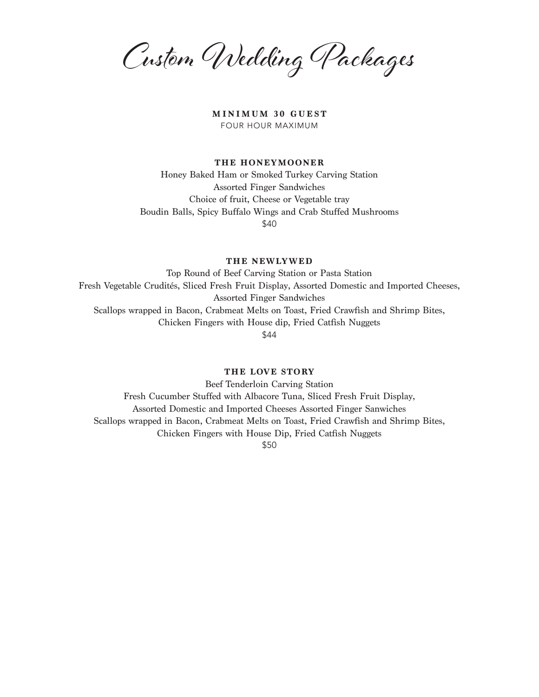Custom Wedding Packages

**MINIMUM 30 GUEST** FOUR HOUR MAXIMUM

#### **THE HONEYMOONER**

Honey Baked Ham or Smoked Turkey Carving Station Assorted Finger Sandwiches Choice of fruit, Cheese or Vegetable tray Boudin Balls, Spicy Buffalo Wings and Crab Stuffed Mushrooms \$40

**THE NEWLYWED**

Top Round of Beef Carving Station or Pasta Station Fresh Vegetable Crudités, Sliced Fresh Fruit Display, Assorted Domestic and Imported Cheeses, Assorted Finger Sandwiches Scallops wrapped in Bacon, Crabmeat Melts on Toast, Fried Crawfish and Shrimp Bites, Chicken Fingers with House dip, Fried Catfish Nuggets \$44

**THE LOVE STORY**

Beef Tenderloin Carving Station Fresh Cucumber Stuffed with Albacore Tuna, Sliced Fresh Fruit Display, Assorted Domestic and Imported Cheeses Assorted Finger Sanwiches Scallops wrapped in Bacon, Crabmeat Melts on Toast, Fried Crawfish and Shrimp Bites, Chicken Fingers with House Dip, Fried Catfish Nuggets \$50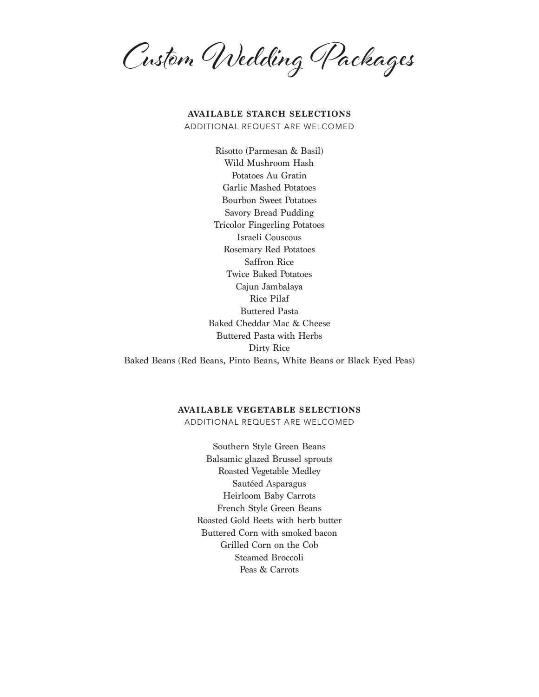Custom Wedding Packages

# **AVAILABLE STARCH SELECTIONS**

ADDITIONAL REQUEST ARE WELCOMED

Risotto (Parmesan & Basil) Wild Mushroom Hash Potatoes Au Gratin Garlic Mashed Potatoes Bourbon Sweet Potatoes Savory Bread Pudding Tricolor Fingerling Potatoes Israeli Couscous Rosemary Red Potatoes Saffron Rice Twice Baked Potatoes Cajun Jambalaya Rice Pilaf Buttered Pasta Baked Cheddar Mac & Cheese Buttered Pasta with Herbs Dirty Rice Baked Beans (Red Beans, Pinto Beans, White Beans or Black Eyed Peas)

## **AVAILABLE VEGETABLE SELECTIONS**

ADDITIONAL REQUEST ARE WELCOMED

Southern Style Green Beans Balsamic glazed Brussel sprouts Roasted Vegetable Medley Sautéed Asparagus Heirloom Baby Carrots French Style Green Beans Roasted Gold Beets with herb butter Buttered Corn with smoked bacon Grilled Corn on the Cob Steamed Broccoli Peas & Carrots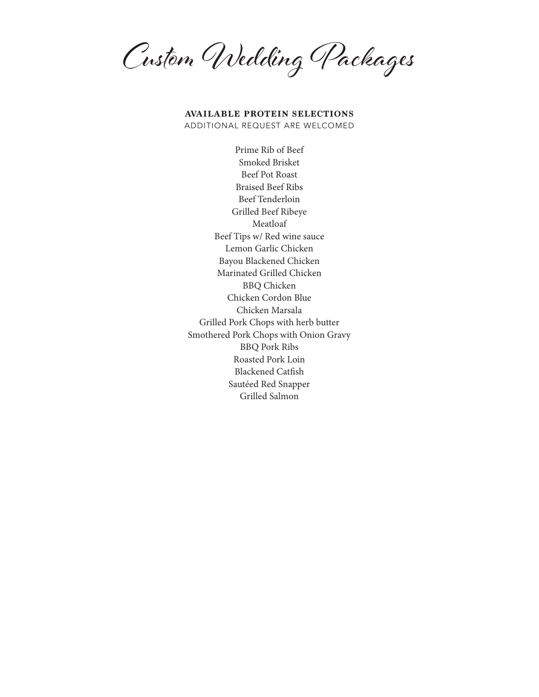Custom Wedding Packages

## **AVAILABLE PROTEIN SELECTIONS** ADDITIONAL REQUEST ARE WELCOMED

Prime Rib of Beef Smoked Brisket Beef Pot Roast Braised Beef Ribs Beef Tenderloin Grilled Beef Ribeye Meatloaf Beef Tips w/ Red wine sauce Lemon Garlic Chicken Bayou Blackened Chicken Marinated Grilled Chicken BBQ Chicken Chicken Cordon Blue Chicken Marsala Grilled Pork Chops with herb butter Smothered Pork Chops with Onion Gravy BBQ Pork Ribs Roasted Pork Loin Blackened Catfish Sautéed Red Snapper Grilled Salmon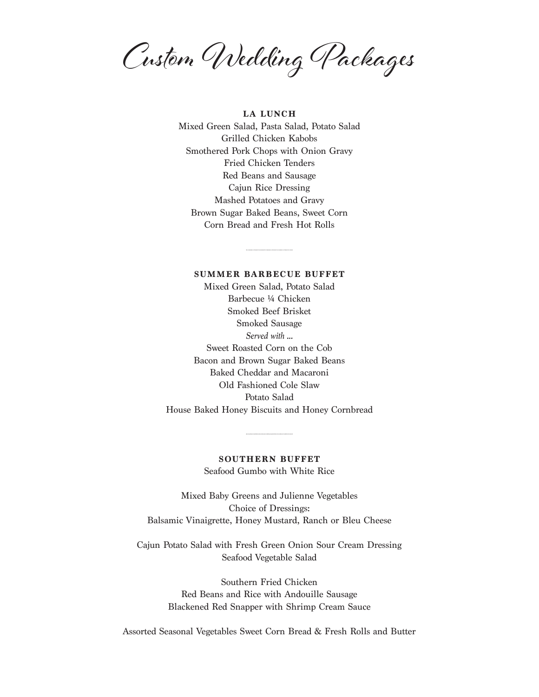Custom Wedding Packages

**LA LUNCH**

Mixed Green Salad, Pasta Salad, Potato Salad Grilled Chicken Kabobs Smothered Pork Chops with Onion Gravy Fried Chicken Tenders Red Beans and Sausage Cajun Rice Dressing Mashed Potatoes and Gravy Brown Sugar Baked Beans, Sweet Corn Corn Bread and Fresh Hot Rolls

#### **SUMMER BARBECUE BUFFET**

Mixed Green Salad, Potato Salad Barbecue ¼ Chicken Smoked Beef Brisket Smoked Sausage *Served with ...* Sweet Roasted Corn on the Cob Bacon and Brown Sugar Baked Beans Baked Cheddar and Macaroni Old Fashioned Cole Slaw Potato Salad House Baked Honey Biscuits and Honey Cornbread

# **SOUTHERN BUFFET** Seafood Gumbo with White Rice

Mixed Baby Greens and Julienne Vegetables Choice of Dressings: Balsamic Vinaigrette, Honey Mustard, Ranch or Bleu Cheese

Cajun Potato Salad with Fresh Green Onion Sour Cream Dressing Seafood Vegetable Salad

> Southern Fried Chicken Red Beans and Rice with Andouille Sausage Blackened Red Snapper with Shrimp Cream Sauce

Assorted Seasonal Vegetables Sweet Corn Bread & Fresh Rolls and Butter